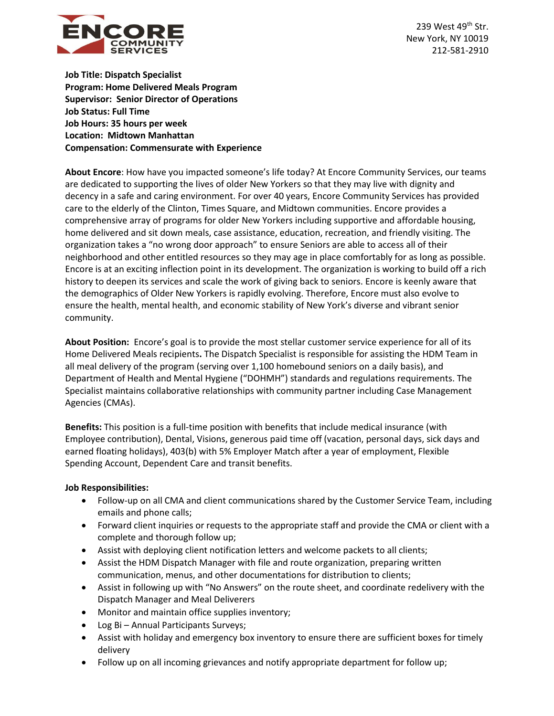

239 West 49<sup>th</sup> Str. New York, NY 10019 212-581-2910

**Job Title: Dispatch Specialist Program: Home Delivered Meals Program Supervisor: Senior Director of Operations Job Status: Full Time Job Hours: 35 hours per week Location: Midtown Manhattan Compensation: Commensurate with Experience**

**About Encore**: How have you impacted someone's life today? At Encore Community Services, our teams are dedicated to supporting the lives of older New Yorkers so that they may live with dignity and decency in a safe and caring environment. For over 40 years, Encore Community Services has provided care to the elderly of the Clinton, Times Square, and Midtown communities. Encore provides a comprehensive array of programs for older New Yorkers including supportive and affordable housing, home delivered and sit down meals, case assistance, education, recreation, and friendly visiting. The organization takes a "no wrong door approach" to ensure Seniors are able to access all of their neighborhood and other entitled resources so they may age in place comfortably for as long as possible. Encore is at an exciting inflection point in its development. The organization is working to build off a rich history to deepen its services and scale the work of giving back to seniors. Encore is keenly aware that the demographics of Older New Yorkers is rapidly evolving. Therefore, Encore must also evolve to ensure the health, mental health, and economic stability of New York's diverse and vibrant senior community.

**About Position:** Encore's goal is to provide the most stellar customer service experience for all of its Home Delivered Meals recipients**.** The Dispatch Specialist is responsible for assisting the HDM Team in all meal delivery of the program (serving over 1,100 homebound seniors on a daily basis), and Department of Health and Mental Hygiene ("DOHMH") standards and regulations requirements. The Specialist maintains collaborative relationships with community partner including Case Management Agencies (CMAs).

**Benefits:** This position is a full-time position with benefits that include medical insurance (with Employee contribution), Dental, Visions, generous paid time off (vacation, personal days, sick days and earned floating holidays), 403(b) with 5% Employer Match after a year of employment, Flexible Spending Account, Dependent Care and transit benefits.

## **Job Responsibilities:**

- Follow-up on all CMA and client communications shared by the Customer Service Team, including emails and phone calls;
- Forward client inquiries or requests to the appropriate staff and provide the CMA or client with a complete and thorough follow up;
- Assist with deploying client notification letters and welcome packets to all clients;
- Assist the HDM Dispatch Manager with file and route organization, preparing written communication, menus, and other documentations for distribution to clients;
- Assist in following up with "No Answers" on the route sheet, and coordinate redelivery with the Dispatch Manager and Meal Deliverers
- Monitor and maintain office supplies inventory;
- Log Bi Annual Participants Surveys;
- Assist with holiday and emergency box inventory to ensure there are sufficient boxes for timely delivery
- Follow up on all incoming grievances and notify appropriate department for follow up;